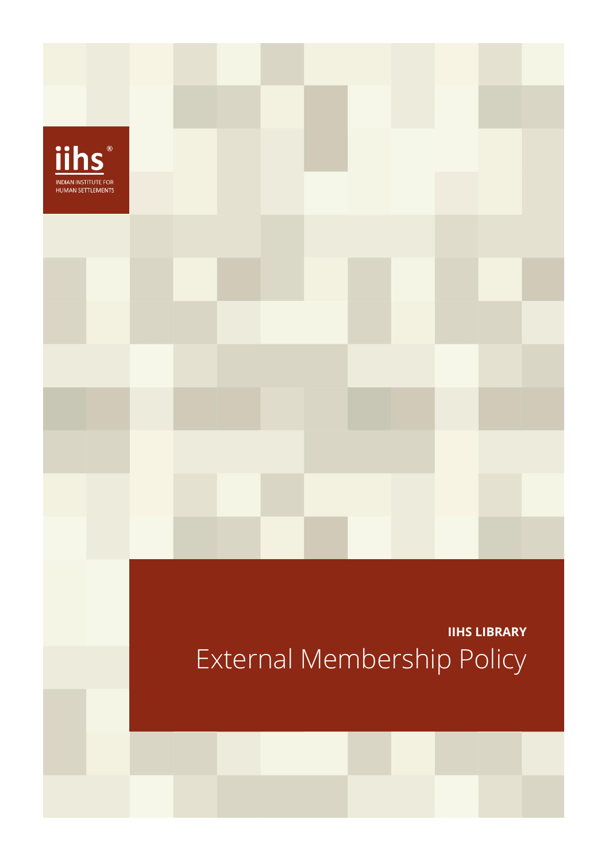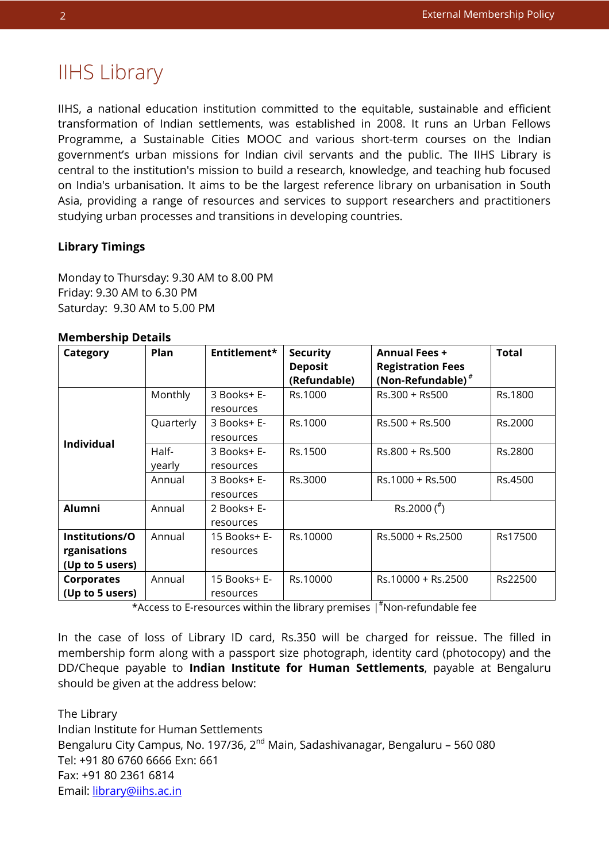nts

# IIHS Library

IIHS, a national education institution committed to the equitable, sustainable and efficient transformation of Indian settlements, was established in 2008. It runs an Urban Fellows Programme, a Sustainable Cities MOOC and various short-term courses on the Indian government's urban missions for Indian civil servants and the public. The IIHS Library is central to the institution's mission to build a research, knowledge, and teaching hub focused on India's urbanisation. It aims to be the largest reference library on urbanisation in South Asia, providing a range of resources and services to support researchers and practitioners studying urban processes and transitions in developing countries.

## **Library Timings**

Monday to Thursday: 9.30 AM to 8.00 PM Friday: 9.30 AM to 6.30 PM Saturday: 9.30 AM to 5.00 PM

### **Membership Details**

| Category          | <b>Plan</b> | Entitlement* | <b>Security</b> | <b>Annual Fees +</b>     | <b>Total</b> |
|-------------------|-------------|--------------|-----------------|--------------------------|--------------|
|                   |             |              | <b>Deposit</b>  | <b>Registration Fees</b> |              |
|                   |             |              | (Refundable)    | (Non-Refundable) $*$     |              |
| <b>Individual</b> | Monthly     | 3 Books+ E-  | Rs.1000         | Rs.300 + Rs500           | Rs.1800      |
|                   |             | resources    |                 |                          |              |
|                   | Quarterly   | 3 Books+ E-  | Rs.1000         | $Rs.500 + Rs.500$        | Rs.2000      |
|                   |             | resources    |                 |                          |              |
|                   | Half-       | 3 Books+ E-  | Rs.1500         | Rs.800 + Rs.500          | Rs.2800      |
|                   | yearly      | resources    |                 |                          |              |
|                   | Annual      | 3 Books+ E-  | Rs.3000         | Rs.1000 + Rs.500         | Rs.4500      |
|                   |             | resources    |                 |                          |              |
| <b>Alumni</b>     | Annual      | 2 Books+ E-  |                 | Rs.2000 $(^{\#})$        |              |
|                   |             | resources    |                 |                          |              |
| Institutions/O    | Annual      | 15 Books+ E- | Rs.10000        | Rs.5000 + Rs.2500        | Rs17500      |
| rganisations      |             | resources    |                 |                          |              |
| (Up to 5 users)   |             |              |                 |                          |              |
| <b>Corporates</b> | Annual      | 15 Books+ E- | Rs.10000        | Rs.10000 + Rs.2500       | Rs22500      |
| (Up to 5 users)   |             | resources    |                 |                          |              |

\*Access to E-resources within the library premises | #Non-refundable fee

In the case of loss of Library ID card, Rs.350 will be charged for reissue. The filled in membership form along with a passport size photograph, identity card (photocopy) and the DD/Cheque payable to **Indian Institute for Human Settlements**, payable at Bengaluru should be given at the address below:

The Library Indian Institute for Human Settlements Bengaluru City Campus, No. 197/36, 2<sup>nd</sup> Main, Sadashivanagar, Bengaluru - 560 080 Tel: +91 80 6760 6666 Exn: 661 Fax: +91 80 2361 6814 Email: library@iihs.ac.in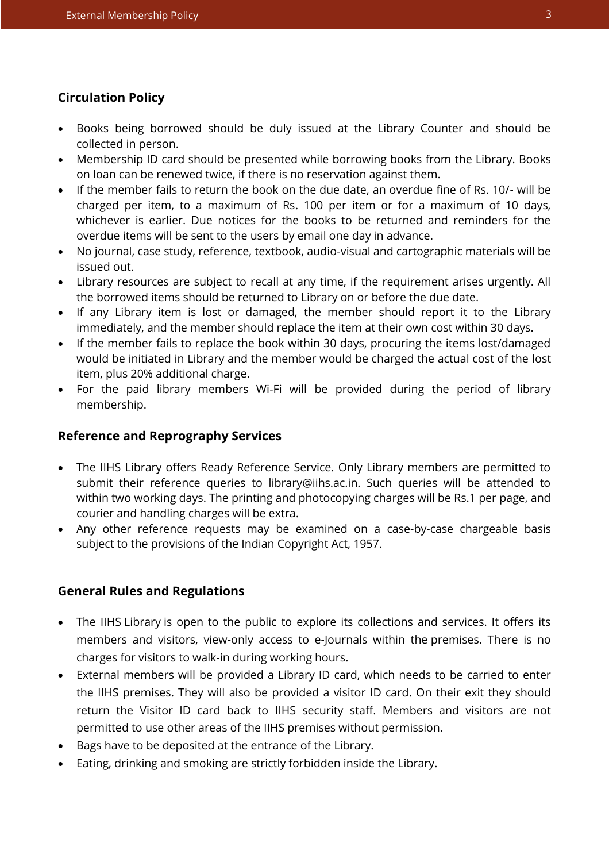## **Circulation Policy**

- Books being borrowed should be duly issued at the Library Counter and should be collected in person.
- Membership ID card should be presented while borrowing books from the Library. Books on loan can be renewed twice, if there is no reservation against them.
- If the member fails to return the book on the due date, an overdue fine of Rs. 10/- will be charged per item, to a maximum of Rs. 100 per item or for a maximum of 10 days, whichever is earlier. Due notices for the books to be returned and reminders for the overdue items will be sent to the users by email one day in advance.
- No journal, case study, reference, textbook, audio-visual and cartographic materials will be issued out.
- Library resources are subject to recall at any time, if the requirement arises urgently. All the borrowed items should be returned to Library on or before the due date.
- If any Library item is lost or damaged, the member should report it to the Library immediately, and the member should replace the item at their own cost within 30 days.
- If the member fails to replace the book within 30 days, procuring the items lost/damaged would be initiated in Library and the member would be charged the actual cost of the lost item, plus 20% additional charge.
- For the paid library members Wi-Fi will be provided during the period of library membership.

## **Reference and Reprography Services**

- The IIHS Library offers Ready Reference Service. Only Library members are permitted to submit their reference queries to library@iihs.ac.in. Such queries will be attended to within two working days. The printing and photocopying charges will be Rs.1 per page, and courier and handling charges will be extra.
- Any other reference requests may be examined on a case-by-case chargeable basis subject to the provisions of the Indian Copyright Act, 1957.

## **General Rules and Regulations**

- The IIHS Library is open to the public to explore its collections and services. It offers its members and visitors, view-only access to e-Journals within the premises. There is no charges for visitors to walk-in during working hours.
- External members will be provided a Library ID card, which needs to be carried to enter the IIHS premises. They will also be provided a visitor ID card. On their exit they should return the Visitor ID card back to IIHS security staff. Members and visitors are not permitted to use other areas of the IIHS premises without permission.
- Bags have to be deposited at the entrance of the Library.
- Eating, drinking and smoking are strictly forbidden inside the Library.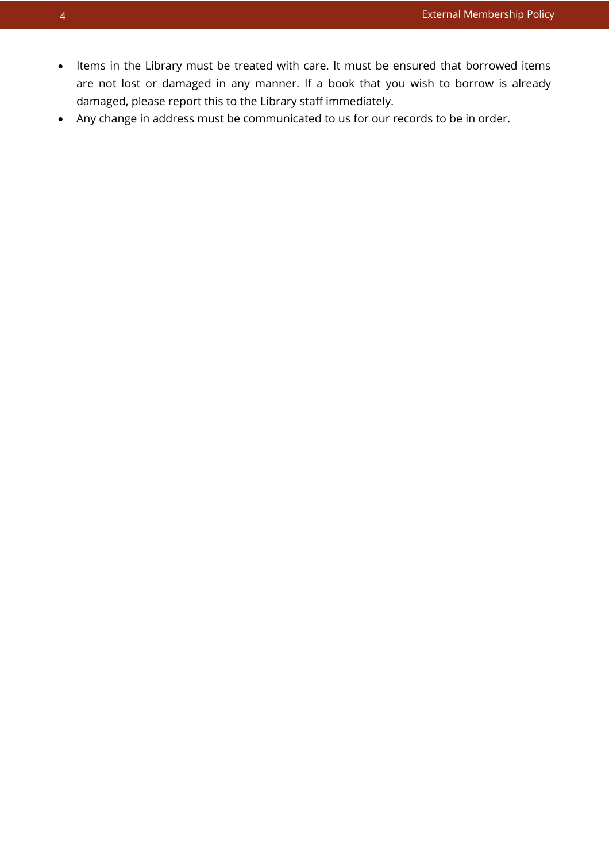nts

- Items in the Library must be treated with care. It must be ensured that borrowed items are not lost or damaged in any manner. If a book that you wish to borrow is already damaged, please report this to the Library staff immediately.
- Any change in address must be communicated to us for our records to be in order.